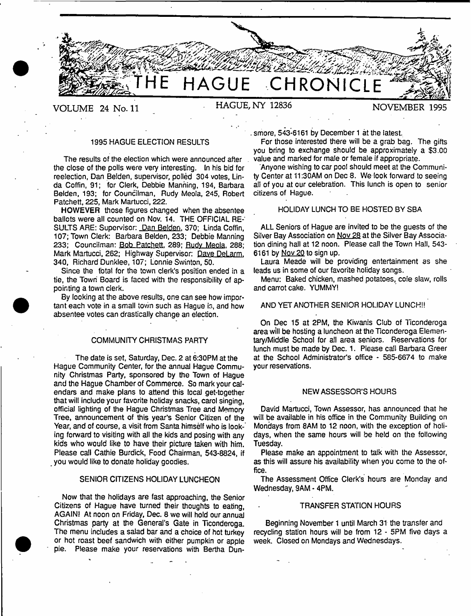

# **VOLUME 24 No. 11 HAGUE, NY 12836 NOVEMBER 19**

### 1995 HAGUE ELECTION RESULTS

The results of the election which were announced after the close of the polls were very interesting. In his bid for reelection, Dan Beiden, supervisor, polled 304 votes, Linda Coffin, 91; for Clerk, Debbie Manning, 194, Barbara Beiden, 193; for Councilman, Rudy Meola, 245, Robert Patchett, 225, Mark Martucci, 222.

HOWEVER those figures changed when the absentee ballots were all counted on Nov. 14. THE OFFICIAL RE-SULTS ARE: Supervisor: Dan Beiden, 370; Linda Coffin, 107; Town Clerk: Barbara Beiden, 233; Debbie Manning 233; Councilman: Bob Patchett, 289; Rudy Meola, 288; Mark Martucci, 262; Highway Supervisor: Dave DeLarm. 340, Richard Dunklee, 107; Lonnie Swinton, 50.

Since the total for the town clerk's position ended in a tie, the Town Board is faced with the responsibility of appointing a town clerk.

By looking at the above results, one can see how important each vote in a small town such as Hague is, and how absentee votes can drastically change an election.

### COMMUNITY CHRISTMAS PARTY

The date is set, Saturday, Dec. 2 at 6:30PM at the Hague Community Center, for the annual Hague Community Christmas Party, sponsored by the Town of Hague and the Hague Chamber of Commerce. So mark your calendars and make plans to attend this local get-together that will include your favorite holiday snacks, carol singing, official lighting of the Hague Christmas Tree and Memory Tree, announcement of this year's Senior Citizen of the Year, and of course, a visit from Santa himself who is looking forward to visiting with all the kids and posing with any kids who would like to have their picture taken with him. Please call Cathie Burdick, Food Chairman, 543-8824, if you would like to donate holiday goodies.

### SENIOR CITIZENS HOLIDAY LUNCHEON

Now that the holidays are fast approaching, the Senior Citizens of Hague have turned their thoughts to eating, AGAINI At noon on Friday, Dec. 8 we will hold our annual Christmas party at the General's Gate in Ticonderoga. The menu includes a salad bar and a choice of hot turkey or hot roast beef sandwich with either pumpkin or apple pie. Please make your reservations with Bertha Dun-

. smore, 543-6161 by December 1 at the latest.

For those interested there will be a grab bag. The gifts you bring to exchange should be approximately a \$3.00 value and marked for male or female if appropriate.

Anyone wishing to car pool should meet at the Community Center at 11:30AM on Dec 8. We look forward to seeing all of you at our celebration. This lunch is open to senior citizens of Hague.

### HOLIDAY LUNCH TO BE HOSTED BY SBA

ALL Seniors of Hague are invited to be the guests of the Silver Bay Association on Nov 28 at the Silver Bay Association dining hall at 12 noon. Please call the Town Hall, 543- 6161 by Nov 20 to sign up.

Laura Meade will be providing entertainment as she leads us in some of our favorite holiday songs.

Menu: Baked chicken, mashed potatoes, cole slaw, rolls and carrot cake. YUMMY!

### AND YET ANOTHER SENIOR HOLIDAY LUNCH!!

On Dec 15 at 2PM, the Kiwanis Club of Ticonderoga area will be hosting a luncheon at the Ticonderoga Elementary/Middle School for all area seniors. Reservations for lunch must be made by Dec. 1. Please call Barbara Greer at the School Administrator's office - 585-6674 to make your reservations.

#### NEW ASSESSOR'S HOURS

David Martucci, Town Assessor, has announced that he will be available in his office in the Community Building on Mondays from 8AM to 12 noon, with the exception of holidays, when the same hours will be held on the following Tuesday.

Please make an appointment to talk with the Assessor, as this will assure his availability when you come to the office.

The Assessment Office Clerk's hours are Monday and Wednesday, 9AM - 4PM.

#### TRANSFER STATION HOURS

Beginning November 1 until March 31 the transfer and recycling station hours will be from 12 - 5PM five days a week. Closed on Mondays and Wednesdays.

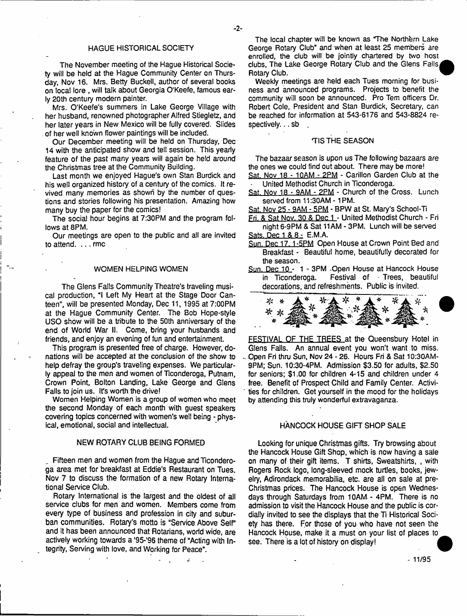### HAGUE HISTORICAL SOCIETY

The November meeting of the Hague Historical Society will be held at the Hague Community Center on Thursday, Nov 16. Mrs. Betty Buckell, author of several books on local lore , will talk about Georgia O'Keefe, famous early 20th century modern painter.

Mrs. O'Keefe's summers in Lake George Village with her husband, renowned photographer Alfred Stiegletz, and her later years in New Mexico will be fully covered. Slides of her well known flower paintings will be included.

Our December meeting will be held on Thursday, Dec 14 with the anticipated show and tell session. This yearly feature of the past many years will again be held around the Christmas tree at the Community Building.

Last month we enjoyed Hague's own Stan Burdick and his well organized history of a century of the comics. It revived many memories as shown by the number of questions and stories following his presentation. Amazing how many buy the paper for the comics!

The social hour begins at 7:30PM and the program follows at 8PM.

Our meetings are open to the public and all are invited to attend. ... rmc

#### WOMEN HELPING WOMEN

The Glens Falls Community Theatre's traveling musical production, "I Left My Heart at the Stage Door Canteen", will be presented Monday, Dec 11, 1995 at 7:00PM at the Hague Community Center. The Bob Hope-style USO show will be a tribute to the 50th anniversary of the end of World War II. Come, bring your husbands and friends, and enjoy an evening of fun and entertainment.

This program is presented free of charge. However, donations will be accepted at the conclusion of the show to help defray the group's traveling expenses. We particularly appeal to the men and women of Ticonderoga, Putnam, Crown Point, Bolton Landing, Lake George and Glens Falls to join us. It's worth the drive!

Women Helping Women is a group of women who meet the second Monday of each month with guest speakers covering topics concerned with women's well being - physical, emotional, social and intellectual.

### NEW ROTARY CLUB BEING FORMED

Fifteen men and women from the Hague and Ticonderoga area met for breakfast at Eddie's Restaurant on Tues. Nov 7 to discuss the formation of a new Rotary International Service Club.

Rotary International is the largest and the oldest of all service clubs for men and women. Members come from every type of business and profession in city and suburban communities. Rotary's motto is "Service Above Self" and it has been announced that Rotarians, world wide, are actively working towards a '95-'96 theme of "Acting with Integrity, Serving with love, and Working for Peace".

The local chapter will be known as The Northern Lake George Rotary Club' and when at least 25 members are enrolled, the club will be jointly chartered by two host clubs, The Lake George Rotary Club and the Glens Falls, Rotary Club.

Weekly meetings are held each Tues morning for business and announced programs. Projects to benefit the community will soon be announced. Pro Tem officers Dr. Robert Cole, President and Stan Burdick, Secretary, can be reached for information at 543-6176 and 543-8824 respectively. . . sb

### TIS THE SEASON

The bazaar season is upon us The following bazaars *are* the ones we could find out about. There may be more! Sat. Nov 18 - 1QAM - 2PM - Carillon Garden Club at the

- United Methodist Church in Ticonderoga.
- Sat. Nov 18 9AM 2PM Church of the Cross. Lunch served from 11:30AM - 1PM.
- Sat. Nov 25 9AM 5PM BPW at St. Mary's School-Ti
- Fri. & Sat Nov. 30 & Dec 1 United Methodist Church Fri night 6-9PM & Sat 11AM - 3PM. Lunch will be served
- Sats. Dec 1 & 8 E.M.A.

- Sun. Dec 17. 1-5PM Open House at Crown Point Bed and Breakfast - Beautiful home, beautifully decorated for the season.
- Sun. Dec 10 1 3PM . Open House at Hancock House<br>in Ticonderoga. Festival of Trees, beautiful Festival of Trees, beautiful decorations, and refreshments. Public is invited.



FESTIVAL OF THE TREES at the Queensbury Hotel in Glens Falls. An annual event you won't want to miss. .. Open Fri thru Sun, Nov 24 - 26. Hours Fri & Sat 10:30AM-9PM; Sun, 10:30-4PM. Admission \$3.50 for adults, \$2.50 for seniors; \$1.00 for children 4-15 and children under 4 free. Benefit of Prospect Child and Family Center. Activi ties for children. Get yourself in the mood for the holidays by attending this truly wonderful extravaganza.

### HANCOCK HOUSE GIFT SHOP SALE

Looking for unique Christmas gifts. Try browsing about the Hancock House Gift Shop, which is now having a sale on many of their gift items. T shirts, Sweatshirts, , with Rogers Rock logo, long-sleeved mock turtles, books, jewelry, Adirondack memorabilia, etc. are all on sale at pre-Christmas prices. The Hancock House is open Wednesdays through Saturdays from 10AM - 4PM. There is no admission to visit the Hancock House and the public is cordially invited to see the displays that the Ti Historical Society has there. For those of you who have not seen the Hancock House, make it a must on your list of places to see. There is a lot of history on display!

- 11/95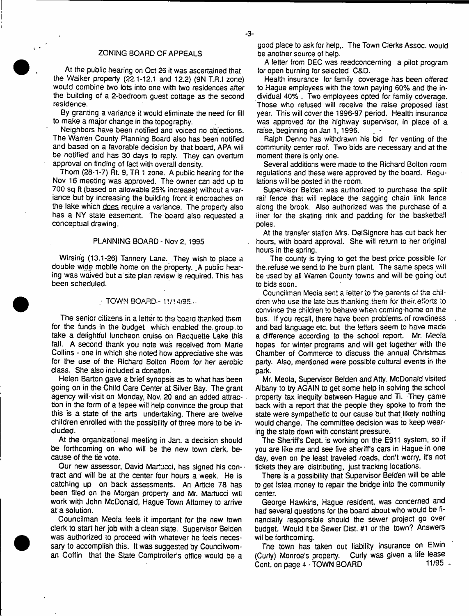## ZONING BOARD OF APPEALS

At the public hearing on Oct 26 it was ascertained that the Walker property (22.1-12.1 and 12.2) (9N T.R.! zone) would combine two lots into one with two residences after the building of a 2-bedroom guest cottage as the second residence.

By granting a variance it would eliminate the need for fill to make a major change in the topography.

Neighbors have been notified and voiced no objections. The Warren County Planning Board also has been notified and based on a favorable decision by that board, APA will be notified and has 30 days to reply. They can overturn approval on finding of fact with overall density.

Thom (28-1-7) Rt. 9, TR 1 zone. A public hearing for the Nov 16 meeting was approved. The owner can add up to 700 sq ft (based on allowable 25% increase) without a variance but by increasing the building front it encroaches on the lake which does require a variance. The property also has a NY state easement. The board also requested a conceptual drawing.

### PLANNING BOARD - Nov 2, 1995

Wirsing (13.1-26) Tannery Lane. They wish to place a double wide mobile home on the property. .A public hearing was waived but a site plan review is required. This has been scheduled.

#### / TOWN BOARD- 11/14/95-

The senior citizens in a letter to the board thanked them for the funds in the budget which enabled the. group.to take a delightful luncheon cruise on Racqueite Lake this fail. A second thank you note was received from Marie Collins - one in which she noted how appreciative she was for the use of the Richard Bolton Room for her aerobic class. She also included a donation.

Helen Barton gave a brief synopsis as to what has been going on in the Child Care Center at Silver Bay. The grant agency will-visit on Monday, Nov. 20 and an added attraction in the form of a tepee will help convince the group that this is a state of the arts undertaking. There are twelve children enrolled with the possibility of three more to be included.

At the organizational meeting in Jan. a decision should be forthcoming on who will be the new town clerk, because of the tie vote.

Our new assessor, David Martucci, has signed his contract and will be at the center four hours a week. He is catching up on back assessments. An Article 78 has been filed on the Morgan property and Mr. Martucci will work with John McDonald, Hague Town Attorney to arrive at a solution.

Councilman Meola feels it important for the new town clerk to start her job with a clean slate. Supervisor Beiden was authorized to proceed with whatever he feels necessary to accomplish this. It was suggested by Councilwoman Coffin that the State Comptroller's office would be a good place to ask for help,. The Town Clerks Assoc, would be another source of help.

A letter from DEC was readconcerning a pilot program for open burning for selected C&D.

Health insurance for family coverage has been offered to Hague employees with the town paying 60% and the individual 40% . Two employees opted for family cdverage. Those who refused will receive the raise proposed last year. This will cover the 1996-97 period. Health insurance was approved for the highway supervisor, in place of a raise, beginning on Jan 1, 1996.

Ralph Denno has withdrawn his bid for venting of the community center roof. Two bids are necessary and at the moment there is only one.

Several additions were made to the Richard Bolton room regulations and these were approved by the board. Regulations will be posted in the room.

Supervisor Beiden was authorized to purchase the split rail fence that will replace the sagging chain link fence along the brook. Also authorized was the purchase of a liner for the skating rink and padding for the basketball poles.

At the transfer station Mrs. DeiSignore has cut back her hours, with board approval. She will return to her original hours in the spring.

The county is trying to get the best price possible for the. refuse we send, to the burn plant. The same specs wiii be used by all Warren County towns and will be going out to bids soon.

Councilman Meoia sent a letter to the parents cf the children who use the late bus thanking them for their, efforts to convince the children to behave when coming'home on the bus. If you recall, there have been problems of rowdiness and bad language etc. but the letters seem to have made a difference according to the school report. Mr. Mecla hopes for winter programs and will get together with the Chamber of Commerce to discuss the annual Christmas party. Also, mentioned were possible cultural events in the park.

Mr. Meola, Supervisor Beiden and Atty. McDonald visited Albany to try AGAIN to get some help in solving the school property tax inequity between- Hague and Ti. They came back with a report that the people they spoke to from the state were sympathetic to our cause but that likely nothing would change. The committee decision was to keep wearing the state down with constant pressure.

The Sheriffs Dept, is working on the E911 system, so if you are like me and see five sheriff's cars in Hague in one day, even on the least traveled roads, don't worry, it's not tickets they are distributing, just tracking locations.

There is a possibility that Supervisor Beiden will be abie to get Istea money to repair the bridge into the community center.

George Hawkins, Hague resident, was concerned and had several questions for the board about who would be financially responsible should the sewer project go over budget. Would it be Sewer Dist. #1 or the town? Answers wil be forthcoming.

The town has taken out liability insurance on Elwin (Curly) Monroe's property. Curly was given a life lease<br>Continuing a 4.5 CWN BOARD 11/95. Cont. on page 4 - TOWN BOARD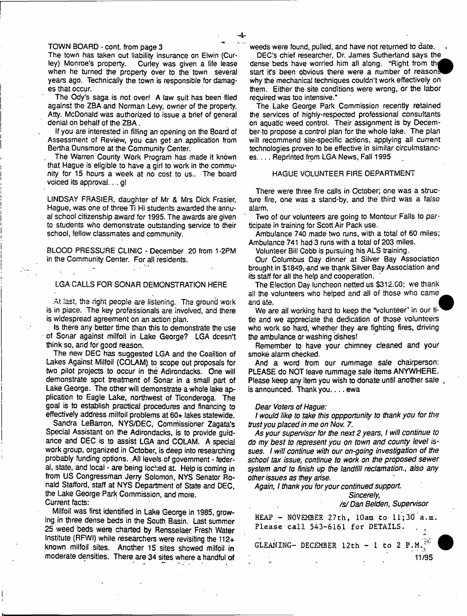#### TOWN BOARD - cont. from page 3

The town has taken out liability insurance on Elwin (Cur-<br>ley) Monroe's property. Curley was given a life lease Curley was given a life lease when he turned the property over to the town several years ago. Technically the town is responsible for damages that occur.

The Ody's saga is not over! A law suit has been filed against the ZBA and Norman Levy, owner of the property. Atty. McDonald was authorized to issue a brief of general denial on behalf of the ZBA.

If you are interested in filling an opening on the Board of Assessment of Review, you can get an application from Bertha Dunsmore at the Community Center.

The Warren County Work Program has made it known that Hague is eligible to have a girl to work in the community for 15 hours a week at no cost to us.. The board voiced its approval... gl

LINDSAY FRASIER, daughter of Mr & Mrs Dick Frasier, Hague, was one of three Ti Hi students awarded the annual school citizenship award for 1995. The awards are given to students who demonstrate outstanding service to their school, fellow classmates and community.

BLOOD PRESSURE CLINIC - December 20 from 1-2PM in the Community Center. For all residents.

### LGA CALLS FOR SONAR DEMONSTRATION HERE

At last, the right people are listening. The ground work is in piace. The key professionals are involved, and there is widespread agreement on an action plan.

Is there any better time than this to demonstrate the use of Sonar against milfoil in Lake George? LGA doesn't think so, and for good reason.

The new DEC has suggested LGA and the Coalition of Lakes Against Milfoil (COLAM) to scope out proposals for two pilot projects to occur in the Adirondacks. One will demonstrate spot treatment of Sonar in a small part of Lake George. The other will demonstrate a whole lake application to Eagle Lake, northwest of Ticonderoga. The goal is to establish practical procedures and financing to effectively address milfoil problems at 60+ lakes statewide.

Sandra LeBarron, NYS/DEC, Commissioner Zagata's Special Assistant on the Adirondacks, is to provide guidance and DEC is to assist LGA and COLAM. A special work group, organized in October, is deep into researching probably funding options. All levels of government - federal, state, and local - are being locked at. Help is coming in from US Congressman Jerry Solomon, NYS Senator Ronald Stafford, staff at NYS Department of State and DEC, the Lake George Park Commission, and more.

Current facts:

Milfoil was first identified in Lake George in 1985, growing in three dense beds in the South Basin. Last summer 25 weed beds were charted by Rensselaer Fresh Water Institute (RPA/I) while researchers were revisiting the 112+ known milfoil sites. Another 15 sites showed milfoil in moderate densities. There are 34 sites where a handful of weeds were found, pulled, and have not returned to date.

DEC'S chief researcher, Dr. James Sutherland says the dense beds have worried him all along. "Right from the start it's been obvious there were a number of reason. why the mechanical techniques couldn't work effectively on them. Either the site conditions were wrong, or the labor required was too intensive."

The Lake George Park Commission recently retained the services of highly-respected professional consultants on aquatic weed control. Their assignment is by Decernber-to propose a control plan for the whole lake. The plan will recommend site-specific actions, applying ail current technologies proven to be effective in similar circulmstances.... Reprinted from LGA News, Fall 1995

#### HAGUE VOLUNTEER FIRE DEPARTMENT

There were three fire calls in October; one was a structure fire, one was a stand-by, and the third was a false alarm.

Two of our volunteers are going to Montour Falls to participate in training for Scott Air Pack use.

Ambulance 740 made two runs, with a total of 60 miles; Ambulance 741 had 3 runs with a total of 203 miles.

Volunteer Bill Cobb is pursuing his ALS training.

Our Columbus Day dinner at Silver Bay Association brought in \$1849, and we thank Silver Bay Association and its staff for all the help and cooperation.

The Election Day luncheon netted us \$312.00; we thank all the volunteers who helped and all of those who came and ate.

We are all working hard to keep the "volunteer" in our titie and we appreciate the dedication of those volunteers who work so hard, whether they are fighting fires, driving the ambulance or washing dishes!

Remember to have your chimney cleaned and your smoke alarm checked.

And a word from our rummage sale chairperson: PLEASE do NOT leave rummage sale items ANYWHERE. Please keep any item you wish to donate until another sale . is announced. Thank you.... ewa

#### *Dear Voters of Hague:*

*I would like to take this oppportunity to thank you for the trust you placed in me on Nov. 7.*

*As your supervisor for the next 2 years, I will continue to do my best to represent you on town and county level issues. I will continue with our on-going investigation of the school tax issue, continue to work on the proposed sewer system and to finish up the landfill reclamation., also any other issues as they arise.*

*Again, I thank you for your continued support.*

### *Sincerely, /s/Dan Beiden, Supervisor*

HEAP - NOVEMBER 27th,  $10$ am to  $11;30$ <sup>'</sup>a.m. Please call 543-6161 for DETAILS. .

GLEANING- DECEMBER  $12th - 1 to 2 P.M.<sup>[3]</sup>$ 

11/95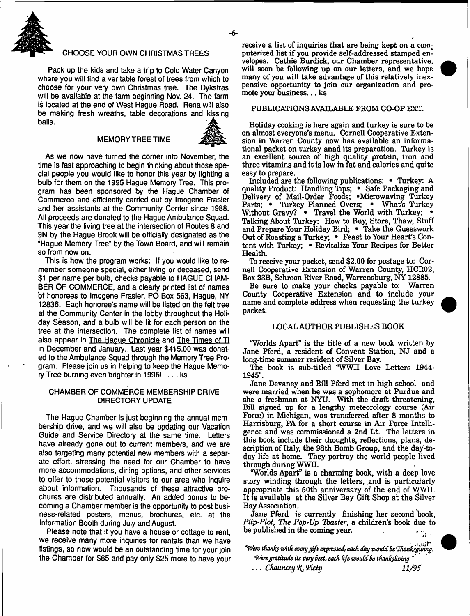

### CHOOSE YOUR OWN CHRISTMAS TREES

Pack up the kids and take a trip to Cold Water Canyon where you will find a veritable forest of trees from which to choose for your very own Christmas tree. The Dykstras will be available at the farm beginning Nov. 24. The farm is located at the end of West Hague Road. Rena will also be making fresh wreaths, table decorations and kissing balls.

#### **MEMORY TREE TIME**



As we now have turned the corner into November, the time is fast approaching to begin thinking about those special people you would like to honor this year by lighting a bulb for them on the 1995 Hague Memory Tree. This program has been sponsored by the Hague Chamber of Commerce and efficiently carried out by Imogene Frasier and her assistants at the Community Center since 1988. All proceeds are donated to the Hague Ambulance Squad. This year the living tree at the intersection of Routes 8 and 9N by the Hague Brook will be officially designated as the "Hague Memory Tree" by the Town Board, and will remain so from now on.

This is how the program works: If you would like to remember someone special, either living or deceased, send \$1 per name per bulb, checks payable to HAGUE CHAM-BER OF COMMERCE, and a clearly printed list of names of honorees to Imogene Frasier, PO Box 563, Hague, NY 12836. Each honoree's name will be listed on the felt tree at the Community Center in the lobby throughout the Holiday Season, and a bulb will be lit for each person on the tree at the intersection. The complete list of names will also appear in The Hague Chronicle and The Times of Ti in December and January. Last year \$415.00 was donated to the Ambulance Squad through the Memory Tree Program. Please join us in helping to keep the Hague Memory Tree burning even brighter in 1995! ... ks

### CHAMBER OF COMMERCE MEMBERSHIP DRIVE DIRECTORY UPDATE

The Hague Chamber is just beginning the annual membership drive, and we will also be updating our Vacation Guide and Service Directory at the same time. Letters have already gone out to current members, and we are also targeting many potential new members with a separate effort, stressing the need for our Chamber to have more accommodations, dining options, and other services to offer to those potential visitors to our area who inquire about information. Thousands of these attractive brochures are distributed annually. An added bonus to becoming a Chamber member is the opportunity to post business-related posters, menus, brochures, etc. at the Information Booth during July and August.

Please note that if you have a house or cottage to rent, we receive many more inquiries for rentals than we have listings, so now would be an outstanding time for your join the Chamber for \$65 and pay only \$25 more to have your receive a list of inquiries that are being kept on a computerized list if you provide self-addressed stamped envelopes. Cathie Burdick, our Chamber representative, will soon be following up on our letters, and we hope many of you will take advantage of this relatively inexpensive opportunity to join our organization and promote your business... ks

### PUBLICATIONS AVAILABLE FROM CO-OP EXT.

Holiday cooking is here again and turkey is sure to be on almost everyone's menu. Cornell Cooperative Extension in Warren County now has available an informational packet on turkey anad its preparation. Turkey is an excellent source of high quality protein, iron and three vitamins and it is low in fat and calories and quite easy to prepare.

Included are the following publications: • Turkey: A quality Product: Handling Tips; \* Safe Packaging and Delivery of Mail-Order Foods; • Microwaving Turkey Parts; • Turkey Planned Overs; • What's Turkey Without Gravy? • Travel the World with Turkey; Talking About Turkey: How to Buy, Store, Thaw, Stuff and Prepare Your Holiday Bird; • Take the Guesswork Out of Roasting a Turkey; • Feast to Your Heart's Content with Turkey; • Revitalize Your Recipes for Better Health.

Tb receive your packet, send \$2.00 for postage to: Cornell Cooperative Extension of Warren County, HCR02, Box 23B, Schroon River Road, Warrensburg, NY 12885.

Be sure to make your checks payable to: Warren County Cooperative Extension and to include your name and complete address when requesting the turkey packet.

### LOCAL AUTHOR PUBLISHES BOOK

"Worlds Apart" is the title of a new book written by Jane Pferd, a resident of Convent Station, NJ and a long-time summer resident of Silver Bay.

The book is sub-titled "WWll Love Letters 1944- 1945".

Jane Devaney and Bill Pferd met in high school and were married when he was a sophomore at Purdue and she a freshman at NYU. With the draft threatening, Bill signed up for a lengthy meteorology course (Air Force) in Michigan, was transferred after 8 months to Harrisburg, PA for a short course in Air Force Intelligence and was commissioned a 2nd Lt. The letters in this book include their thoughts, reflections, plans, description of Italy, the 98th Bomb Group, and the day-today life at home. They portray the world people lived through during WWII.

"Worlds Apart" is a charming book, with a deep love story winding through the letters, and is particularly appropriate this 50th anniversary of the end of WWII. It is available at the Silver Bay Gift Shop at the Silver Bay Association.

Jane Pferd is currently finishing her second book, *Plip-Plot, The Pop-Up Tbaster,* a children's book due to be published in the coming year.

*"Wert thanfy with every gift expressed, each day would Be Thanl/gkwg. Were gratitude its very Best, each Gfe would Be tfianfefaving*.' ... *Chauncey R*, *Piety* 11/95



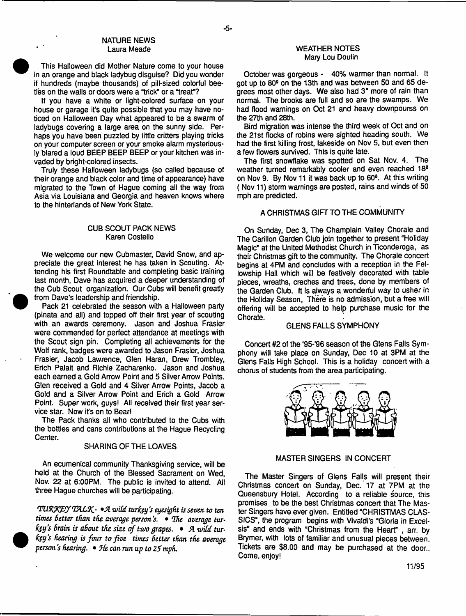### NATURE NEWS Laura Meade

This Halloween did Mother Nature come to your house in an orange and black ladybug disguise? Did you wonder if hundreds (maybe thousands) of pill-sized colorful beetles on the walls or doors were a "trick" or a "treat"?

If you have a white or light-colored surface on your house or garage it's quite possible that you may have noticed on Halloween Day what appeared to be a swarm of ladybugs covering a large area on the sunny side. Perhaps you have been puzzled by little critters playing tricks on your computer screen or your smoke alarm mysteriously blared a loud BEEP BEEP BEEP or your kitchen was invaded by bright-colored insects.

Truly these Halloween ladybugs (so called because of their orange and black color and time of appearance) have migrated to the Town of Hague coming all the way from Asia via Louisiana and Georgia and heaven knows where to the hinterlands of New York State.

### CUB SCOUT PACK NEWS Karen Costello

We welcome our new Cubmaster, David Snow, and appreciate the great interest he has taken in Scouting. Attending his first Roundtable and completing basic training last month, Dave has acquired a deeper understanding of the Cub Scout organization. Our Cubs will benefit greatly from Dave's leadership and friendship.

Pack 21 celebrated the season with a Halloween party (pinata and all) and topped off their first year of scouting with an awards ceremony. Jason and Joshua Frasier were commended for perfect attendance at meetings with the Scout sign pin. Completing all achievements for the Wolf rank, badges were awarded to Jason Frasier, Joshua Frasier, Jacob Lawrence, Glen Haran, Drew Trombley, Erich Palait and Richie Zacharenko. Jason and Joshua each earned a Gold Arrow Point and 5 Silver Arrow Points. Glen received a Gold and 4 Silver Arrow Points, Jacob a Gold and a Silver Arrow Point and Erich a Gold Arrow Point. Super work, guys! All received their first year service star. Now it's on to Bear!

The Pack thanks all who contributed to the Cubs with the bottles and cans contributions at the Hague Recycling Center.

### SHARING OF THE LOAVES

An ecumenical community Thanksgiving service, will be held at the Church of the Blessed Sacrament on Wed, Nov. 22 at 6:00PM. The public is invited to attend. All three Hague churches will be participating.

*<VU.%y^TffIAL0<i*- *»A zviid tur fay's eyesight is seven to ten* times better than the average person's. • The average tur*fey's brain is about the size of two grapes.* • *A wild turfay's hearing is four to five times Setter than the average person* j *hearing.* • *9(e can run up to 25 mph*.

### WEATHER NOTES Mary Lou Doulin

October was gorgeous - 40% warmer than normal, it got up to 80<sup>3</sup> on the 13th and was between 50 and 65 degrees most other days. We also had 3" more of rain than normal. The brooks are full and so are the swamps. We had flood warnings on Oct 21 and heavy downpourss on the 27th and 28th.

Bird migration was intense the third week of Oct and on the 21st flocks of robins were sighted heading south. We had the first killing frost, lakeside on Nov 5, but even then a few flowers survived. This is quite late.

The first snowflake was spotted on Sat Nov. 4. The weather turned remarkably cooler and even reached 18a on Nov 9. By Nov 11 it was back up to 60<sup>8</sup>. At this writing ( Nov 11) storm warnings are posted, rains and winds of 50 mph are predicted.

# A CHRISTMAS GIFT TO THE COMMUNITY

On Sunday, Dec 3, The Champlain Valley Chorale and The Carillon Garden Club join together to present "Holiday Magic" at the United Methodist Church in Ticonderoga, as their Christmas gift to the community. The Chorale concert begins at 4PM and concludes with a reception in the Fellowship Hall which will be festively decorated with table pieces, wreaths, creches and trees, done by members of the Garden Club. It is always a wonderful way to usher in the Holiday Season, There is no admission, but a free will offering will be accepted to help purchase music for the Chorale.

### GLENS FALLS SYMPHONY

Concert #2 of the '95-'96 season of the Glens Falls Symphony will take place on Sunday, Dec 10 at 3PM at the Glens Falls High School. This is a holiday concert with a chorus of students from the area participating.



### MASTER SINGERS IN CONCERT

The Master Singers of Glens Falls will present their Christmas concert on Sunday, Dec. 17 at 7PM at the Queensbury Hotel. According to a reliable source, this promises to be the best Christmas concert that The Master Singers have ever given. Entitled "CHRISTMAS CLAS-SICS", the program begins with Vivaldi's "Gloria in Excelsis" and ends with "Christmas from the Heart" , arr. by Brymer, with lots of familiar and unusual pieces between. Tickets are \$8.00 and may be purchased at the door.. Come, enjoy!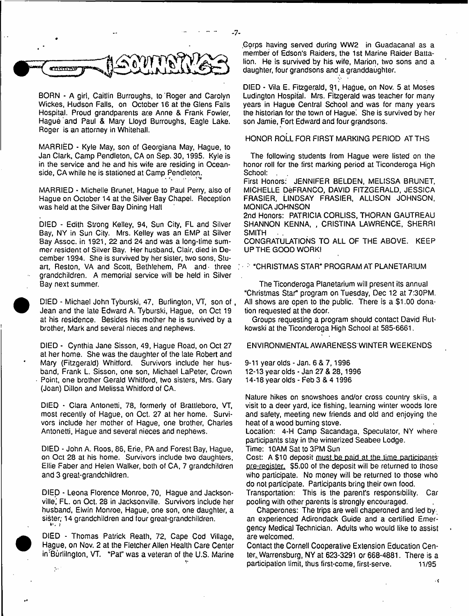

BORN - A girl, Caitlin Burroughs, to 'Roger and Carolyn Wickes, Hudson Falls, on October 16 at the Glens Falls Hospital. Proud grandparents are Anne & Frank Fowler, Hague and Paul & Mary Lloyd Burroughs, Eagle Lake. Roger is an attorney in Whitehall.

MARRIED - Kyle May, son of Georgiana May, Hague, to Jan Clark, Camp Pendleton, CA on Sep. 30,1995. Kyle is in the service and he and his wife are residing in Oceanside, CA while he is stationed at Camp Pendleton.

MARRIED - Michelle Brunet, Hague to Paul Perry, also of Hague on October 14 at the Silver Bay Chapel. Reception was held at the Silver Bay Dining Hall

DIED - Edith Strong Kelley, 94, Sun City, FL and Silver Bay, NY in Sun City. Mrs. Kelley was an EMP at Silver Bay Assoc, in 1921, 22 and 24 and was a long-time summer resident of Silver Bay. Her husband, Clair, died in December 1994. She is survived by her sister, two sons, Stuart, Reston, VA and Scott, Bethlehem, PA and' three grandchildren. A memorial service will be held in Silver Bay next summer.

DIED - Michael John Tyburski, 47, Burlington, VT, son of, Jean and the late Edward A. Tyburski, Hague, on Oct 19 at his residence. Besides his mother he is survived by a brother, Mark and several nieces and nephews.

<sup>•</sup>

**•** 

 $\mathcal{D}_{\mathcal{A}}$ 

DIED - Cynthia Jane Sisson, 49, Hague Road, on Oct 27 at her home. She was the daughter of the late Robert and Mary (Fitzgerald) Whitford. Survivors include her husband, Frank L. Sisson, one son, Michael LaPeter, Crown • Point, one brother Gerald Whitford, two sisters, Mrs. Gary (Joan) Dillon and Melissa Whitford of CA.

DIED · Clara Antonetti, 78, formerly of Brattleboro, VT, most recently of Hague, on Oct. 27 at her home. Survivors include her mother of Hague, one brother, Charles Antonetti, Hague and several nieces and nephews.

DIED - John A. Roos, 86, Erie, PA and Forest Bay, Hague, on Oct 28 at his home. Survivors include two daughters, Ellie Faber and Helen Walker, both of CA, 7 grandchildren and 3 great-grandchildren.

DIED - Leona Florence Monroe, 70, Hague and Jacksonville,' FL. on Oct. 28 in Jacksonville. Survivors include her husband, Elwin Monroe, Hague, one son, one daughter, a sister; 14 grandchildren and four great-grandchildren.<br>Webla

 DIED - Thomas Patrick Reath, 72, Cape Cod Village, Hague, on Nov. 2 at the Fletcher Allen Health Care Center in Burlilngton, VT. "Pat" was a veteran of the U.S. Marine

.Corps having served during WW2 in Guadacanal as a member of Edson's Raiders, the 1st Marine Raider Battalion. He is survived by his wife, Marion, two sons and a daughter, four grandsons and a granddaughter.

DIED - Vila E. Fitzgerald, 91, Hague, on Nov. 5 at Moses Ludington Hospital. Mrs. Fitzgerald was teacher for many years in Hague Central School and was for many years the historian for the town of Haque. She is survived by her son Jamie, Fort Edward and four grandsons.

HONOR ROLL FOR FIRST MARKING PERIOD AT THS

The following students from Hague were listed on the honor roll for the first marking period at Ticonderoga High School:

First Honors: JENNIFER BELDEN, MELISSA BRUNET, MICHELLE DeFRANCO, DAVID FITZGERALD, JESSICA FRASIER, LINDSAY FRASIER, ALLISON JOHNSON, MONICA JOHNSON

2nd Honors: PATRICIA CORLISS, THORAN GAUTREAU SHANNON KENNA, , CRISTINA LAWRENCE, SHERRI SMITH

CONGRATULATIONS TO ALL OF THE ABOVE. KEEP UP THE GOOD WORK!

; "CHRISTMAS STAR" PROGRAM AT PLANETARIUM

The Ticonderoga Planetarium will present its annual "Christmas Star" program on Tuesday, Dec 12 at 7:30PM. All shows are open to the public. There is a \$1.00 donation requested at the door.

Groups requesting a program should contact David Rutkowski at the Ticonderoga High School at 585-6661.

ENVIRONMENTAL AWARENESS WINTER WEEKENDS

9-11 year olds - Jan. 6 & 7,1996 12-13 year olds - Jan 27 & 28,1996 14-18 year olds - Feb 3 & 4 1996

Nature hikes on snowshoes and/or cross country skiis, a visit to a deer yard, ice fishing, learning winter woods lore and safety, meeting new friends and old and enjoying the heat of a wood burning stove.

Location: 4-H Camp Sacandaga, Speculator, NY where participants stay in the winterized Seabee Lodge.

Time: 10AM Sat to 3PM Sun

Cost: A £10 deposit must be paid at the time participants' pre-register. \$5.00 of the deposit will be returned to those who participate. No money will be returned to those who do not participate. Participants bring their own food.

Transportation: This is the parent's responsibility. Car pooling with other parents is strongly encouraged.

Chaperones: The trips are well chaperoned and led by an experienced Adirondack Guide and a certified Emergency Medical Technician. Adults who would like to assist are welcomed.

Contact the Cornell Cooperative Extension Education Center,. Warrensburg, NY at 623-3291 or 668-4881. There is a participation limit, thus first-come, first-serve. 11/95

 $\mathcal{C}$